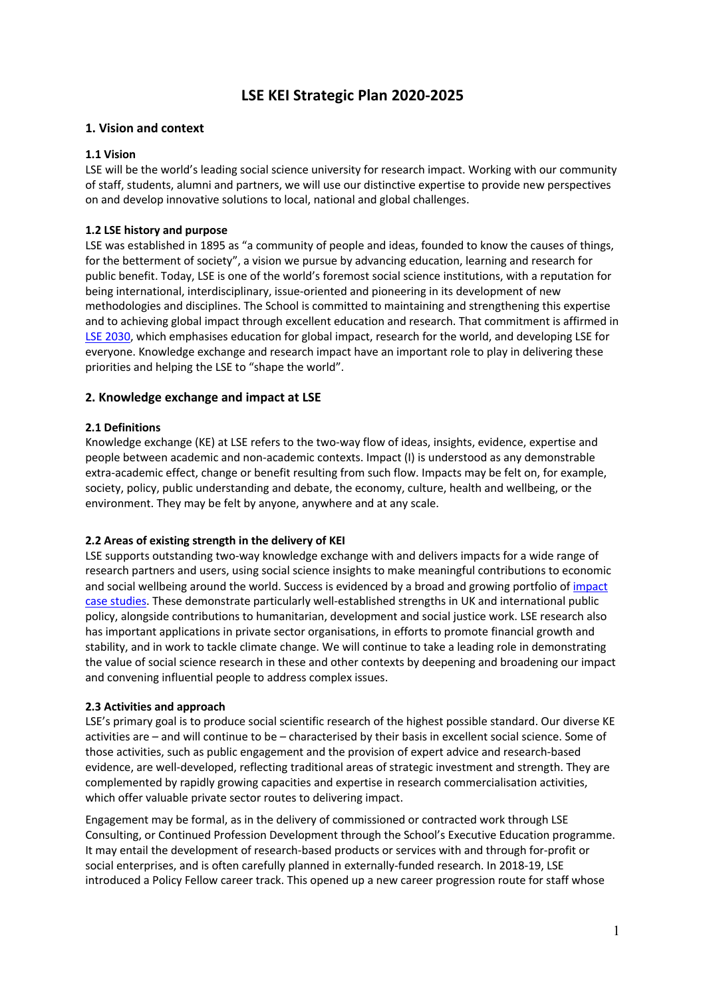# **LSE KEI Strategic Plan 2020-2025**

## **1. Vision and context**

#### **1.1 Vision**

LSE will be the world's leading social science university for research impact. Working with our community of staff, students, alumni and partners, we will use our distinctive expertise to provide new perspectives on and develop innovative solutions to local, national and global challenges.

#### **1.2 LSE history and purpose**

LSE was established in 1895 as "a community of people and ideas, founded to know the causes of things, for the betterment of society", a vision we pursue by advancing education, learning and research for public benefit. Today, LSE is one of the world's foremost social science institutions, with a reputation for being international, interdisciplinary, issue-oriented and pioneering in its development of new methodologies and disciplines. The School is committed to maintaining and strengthening this expertise and to achieving global impact through excellent education and research. That commitment is affirmed in LSE 2030, which emphasises education for global impact, research for the world, and developing LSE for everyone. Knowledge exchange and research impact have an important role to play in delivering these priorities and helping the LSE to "shape the world".

## **2. Knowledge exchange and impact at LSE**

## **2.1 Definitions**

Knowledge exchange (KE) at LSE refers to the two-way flow of ideas, insights, evidence, expertise and people between academic and non-academic contexts. Impact (I) is understood as any demonstrable extra-academic effect, change or benefit resulting from such flow. Impacts may be felt on, for example, society, policy, public understanding and debate, the economy, culture, health and wellbeing, or the environment. They may be felt by anyone, anywhere and at any scale.

#### **2.2 Areas of existing strength in the delivery of KEI**

LSE supports outstanding two-way knowledge exchange with and delivers impacts for a wide range of research partners and users, using social science insights to make meaningful contributions to economic and social wellbeing around the world. Success is evidenced by a broad and growing portfolio of impact case studies. These demonstrate particularly well-established strengths in UK and international public policy, alongside contributions to humanitarian, development and social justice work. LSE research also has important applications in private sector organisations, in efforts to promote financial growth and stability, and in work to tackle climate change. We will continue to take a leading role in demonstrating the value of social science research in these and other contexts by deepening and broadening our impact and convening influential people to address complex issues.

#### **2.3 Activities and approach**

LSE's primary goal is to produce social scientific research of the highest possible standard. Our diverse KE activities are – and will continue to be – characterised by their basis in excellent social science. Some of those activities, such as public engagement and the provision of expert advice and research-based evidence, are well-developed, reflecting traditional areas of strategic investment and strength. They are complemented by rapidly growing capacities and expertise in research commercialisation activities, which offer valuable private sector routes to delivering impact.

Engagement may be formal, as in the delivery of commissioned or contracted work through LSE Consulting, or Continued Profession Development through the School's Executive Education programme. It may entail the development of research-based products or services with and through for-profit or social enterprises, and is often carefully planned in externally-funded research. In 2018-19, LSE introduced a Policy Fellow career track. This opened up a new career progression route for staff whose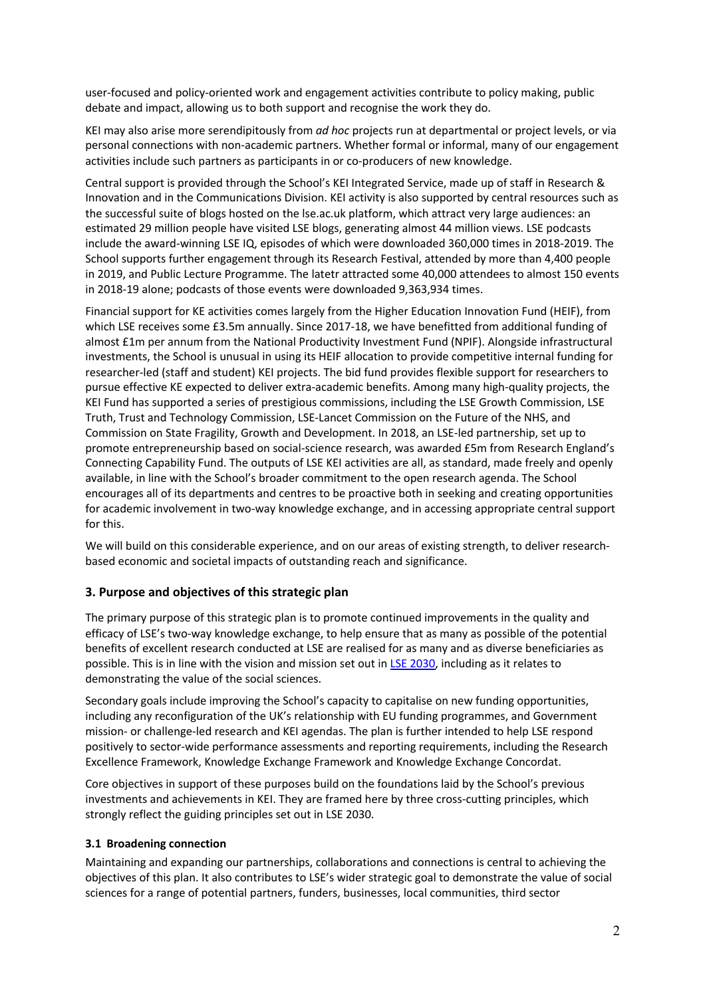user-focused and policy-oriented work and engagement activities contribute to policy making, public debate and impact, allowing us to both support and recognise the work they do.

KEI may also arise more serendipitously from *ad hoc* projects run at departmental or project levels, or via personal connections with non-academic partners. Whether formal or informal, many of our engagement activities include such partners as participants in or co-producers of new knowledge.

Central support is provided through the School's KEI Integrated Service, made up of staff in Research & Innovation and in the Communications Division. KEI activity is also supported by central resources such as the successful suite of blogs hosted on the lse.ac.uk platform, which attract very large audiences: an estimated 29 million people have visited LSE blogs, generating almost 44 million views. LSE podcasts include the award-winning LSE IQ, episodes of which were downloaded 360,000 times in 2018-2019. The School supports further engagement through its Research Festival, attended by more than 4,400 people in 2019, and Public Lecture Programme. The latetr attracted some 40,000 attendees to almost 150 events in 2018-19 alone; podcasts of those events were downloaded 9,363,934 times.

Financial support for KE activities comes largely from the Higher Education Innovation Fund (HEIF), from which LSE receives some £3.5m annually. Since 2017-18, we have benefitted from additional funding of almost £1m per annum from the National Productivity Investment Fund (NPIF). Alongside infrastructural investments, the School is unusual in using its HEIF allocation to provide competitive internal funding for researcher-led (staff and student) KEI projects. The bid fund provides flexible support for researchers to pursue effective KE expected to deliver extra-academic benefits. Among many high-quality projects, the KEI Fund has supported a series of prestigious commissions, including the LSE Growth Commission, LSE Truth, Trust and Technology Commission, LSE-Lancet Commission on the Future of the NHS, and Commission on State Fragility, Growth and Development. In 2018, an LSE-led partnership, set up to promote entrepreneurship based on social-science research, was awarded £5m from Research England's Connecting Capability Fund. The outputs of LSE KEI activities are all, as standard, made freely and openly available, in line with the School's broader commitment to the open research agenda. The School encourages all of its departments and centres to be proactive both in seeking and creating opportunities for academic involvement in two-way knowledge exchange, and in accessing appropriate central support for this.

We will build on this considerable experience, and on our areas of existing strength, to deliver researchbased economic and societal impacts of outstanding reach and significance.

# **3. Purpose and objectives of this strategic plan**

The primary purpose of this strategic plan is to promote continued improvements in the quality and efficacy of LSE's two-way knowledge exchange, to help ensure that as many as possible of the potential benefits of excellent research conducted at LSE are realised for as many and as diverse beneficiaries as possible. This is in line with the vision and mission set out in LSE 2030, including as it relates to demonstrating the value of the social sciences.

Secondary goals include improving the School's capacity to capitalise on new funding opportunities, including any reconfiguration of the UK's relationship with EU funding programmes, and Government mission- or challenge-led research and KEI agendas. The plan is further intended to help LSE respond positively to sector-wide performance assessments and reporting requirements, including the Research Excellence Framework, Knowledge Exchange Framework and Knowledge Exchange Concordat.

Core objectives in support of these purposes build on the foundations laid by the School's previous investments and achievements in KEI. They are framed here by three cross-cutting principles, which strongly reflect the guiding principles set out in LSE 2030.

#### **3.1 Broadening connection**

Maintaining and expanding our partnerships, collaborations and connections is central to achieving the objectives of this plan. It also contributes to LSE's wider strategic goal to demonstrate the value of social sciences for a range of potential partners, funders, businesses, local communities, third sector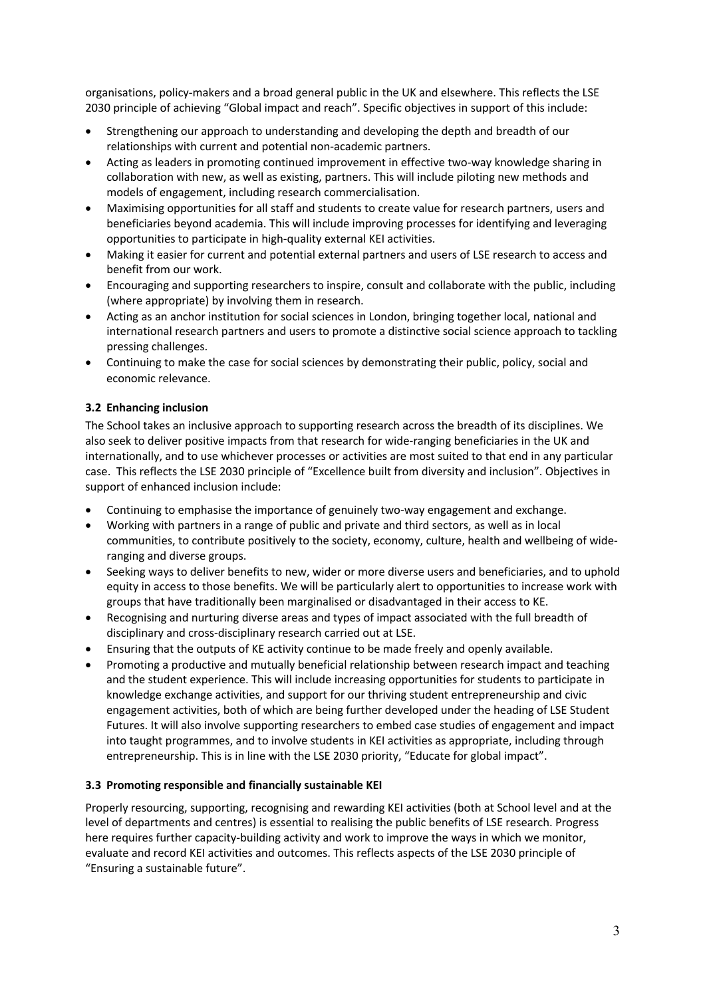organisations, policy-makers and a broad general public in the UK and elsewhere. This reflects the LSE 2030 principle of achieving "Global impact and reach". Specific objectives in support of this include:

- Strengthening our approach to understanding and developing the depth and breadth of our relationships with current and potential non-academic partners.
- Acting as leaders in promoting continued improvement in effective two-way knowledge sharing in collaboration with new, as well as existing, partners. This will include piloting new methods and models of engagement, including research commercialisation.
- Maximising opportunities for all staff and students to create value for research partners, users and beneficiaries beyond academia. This will include improving processes for identifying and leveraging opportunities to participate in high-quality external KEI activities.
- Making it easier for current and potential external partners and users of LSE research to access and benefit from our work.
- Encouraging and supporting researchers to inspire, consult and collaborate with the public, including (where appropriate) by involving them in research.
- Acting as an anchor institution for social sciences in London, bringing together local, national and international research partners and users to promote a distinctive social science approach to tackling pressing challenges.
- Continuing to make the case for social sciences by demonstrating their public, policy, social and economic relevance.

## **3.2 Enhancing inclusion**

The School takes an inclusive approach to supporting research across the breadth of its disciplines. We also seek to deliver positive impacts from that research for wide-ranging beneficiaries in the UK and internationally, and to use whichever processes or activities are most suited to that end in any particular case. This reflects the LSE 2030 principle of "Excellence built from diversity and inclusion". Objectives in support of enhanced inclusion include:

- Continuing to emphasise the importance of genuinely two-way engagement and exchange.
- Working with partners in a range of public and private and third sectors, as well as in local communities, to contribute positively to the society, economy, culture, health and wellbeing of wideranging and diverse groups.
- Seeking ways to deliver benefits to new, wider or more diverse users and beneficiaries, and to uphold equity in access to those benefits. We will be particularly alert to opportunities to increase work with groups that have traditionally been marginalised or disadvantaged in their access to KE.
- Recognising and nurturing diverse areas and types of impact associated with the full breadth of disciplinary and cross-disciplinary research carried out at LSE.
- Ensuring that the outputs of KE activity continue to be made freely and openly available.
- Promoting a productive and mutually beneficial relationship between research impact and teaching and the student experience. This will include increasing opportunities for students to participate in knowledge exchange activities, and support for our thriving student entrepreneurship and civic engagement activities, both of which are being further developed under the heading of LSE Student Futures. It will also involve supporting researchers to embed case studies of engagement and impact into taught programmes, and to involve students in KEI activities as appropriate, including through entrepreneurship. This is in line with the LSE 2030 priority, "Educate for global impact".

#### **3.3 Promoting responsible and financially sustainable KEI**

Properly resourcing, supporting, recognising and rewarding KEI activities (both at School level and at the level of departments and centres) is essential to realising the public benefits of LSE research. Progress here requires further capacity-building activity and work to improve the ways in which we monitor, evaluate and record KEI activities and outcomes. This reflects aspects of the LSE 2030 principle of "Ensuring a sustainable future".